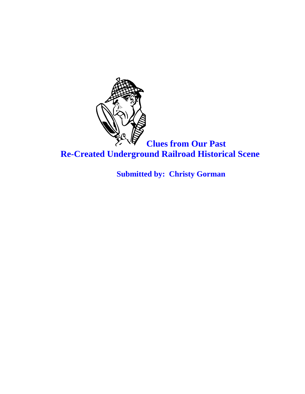

 **Clues from Our Past Re-Created Underground Railroad Historical Scene**

 **Submitted by: Christy Gorman**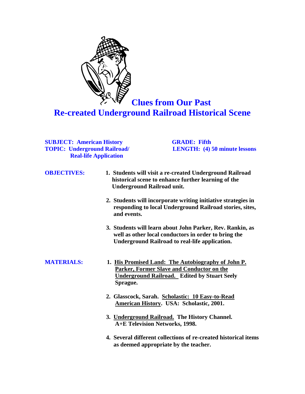

 **Clues from Our Past Re-created Underground Railroad Historical Scene**

#### **SUBJECT: American History GRADE: Fifth <br>
TOPIC: Underground Railroad/ LENGTH:** (4) 50 minute lessons **TOPIC: Underground Railroad/ Real-life Application**

| <b>OBJECTIVES:</b> | 1. Students will visit a re-created Underground Railroad<br>historical scene to enhance further learning of the<br><b>Underground Railroad unit.</b>                       |
|--------------------|----------------------------------------------------------------------------------------------------------------------------------------------------------------------------|
|                    | 2. Students will incorporate writing initiative strategies in<br>responding to local Underground Railroad stories, sites,<br>and events.                                   |
|                    | 3. Students will learn about John Parker, Rev. Rankin, as<br>well as other local conductors in order to bring the<br><b>Underground Railroad to real-life application.</b> |
| <b>MATERIALS:</b>  | 1. His Promised Land: The Autobiography of John P.<br><b>Parker, Former Slave and Conductor on the</b><br><b>Underground Railroad.</b> Edited by Stuart Seely<br>Sprague.  |
|                    | 2. Glasscock, Sarah. Scholastic: 10 Easy-to-Read<br><b>American History. USA: Scholastic, 2001.</b>                                                                        |
|                    | 3. Underground Railroad. The History Channel.<br>A+E Television Networks, 1998.                                                                                            |

 **4. Several different collections of re-created historical items as deemed appropriate by the teacher.**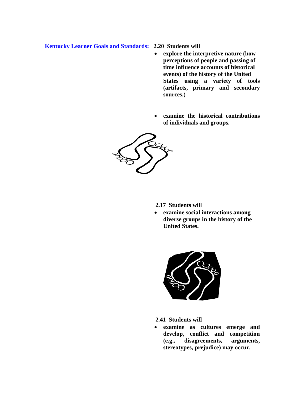#### **Kentucky Learner Goals and Standards: 2.20 Students will**

- **explore the interpretive nature (how perceptions of people and passing of time influence accounts of historical events) of the history of the United States using a variety of tools (artifacts, primary and secondary sources.)**
- **examine the historical contributions of individuals and groups.**



 **2.17 Students will**

 **examine social interactions among diverse groups in the history of the United States.**



 **2.41 Students will**

 **examine as cultures emerge and develop, conflict and competition (e.g., disagreements, arguments, stereotypes, prejudice) may occur.**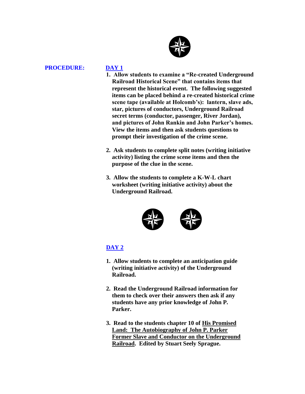

#### **PROCEDURE: DAY 1**

- **1. Allow students to examine a "Re-created Underground Railroad Historical Scene" that contains items that represent the historical event. The following suggested items can be placed behind a re-created historical crime scene tape (available at Holcomb's): lantern, slave ads, star, pictures of conductors, Underground Railroad secret terms (conductor, passenger, River Jordan), and pictures of John Rankin and John Parker's homes. View the items and then ask students questions to prompt their investigation of the crime scene.**
- **2. Ask students to complete split notes (writing initiative activity) listing the crime scene items and then the purpose of the clue in the scene.**
- **3. Allow the students to complete a K-W-L chart worksheet (writing initiative activity) about the Underground Railroad.**



### **DAY 2**

- **1. Allow students to complete an anticipation guide (writing initiative activity) of the Underground Railroad.**
- **2. Read the Underground Railroad information for them to check over their answers then ask if any students have any prior knowledge of John P. Parker.**
- **3. Read to the students chapter 10 of His Promised Land: The Autobiography of John P. Parker Former Slave and Conductor on the Underground Railroad. Edited by Stuart Seely Sprague.**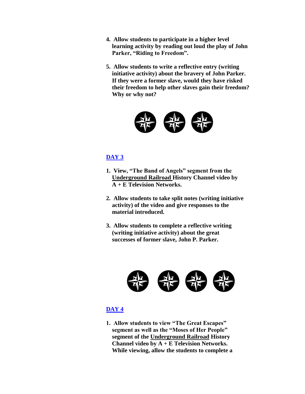- **4. Allow students to participate in a higher level learning activity by reading out loud the play of John Parker, "Riding to Freedom".**
- **5. Allow students to write a reflective entry (writing initiative activity) about the bravery of John Parker. If they were a former slave, would they have risked their freedom to help other slaves gain their freedom? Why or why not?**



## **DAY 3**

- **1. View, "The Band of Angels" segment from the Underground Railroad History Channel video by A + E Television Networks.**
- **2. Allow students to take split notes (writing initiative activity) of the video and give responses to the material introduced.**
- **3. Allow students to complete a reflective writing (writing initiative activity) about the great successes of former slave, John P. Parker.**



#### **DAY 4**

 **1. Allow students to view "The Great Escapes" segment as well as the "Moses of Her People" segment of the Underground Railroad History Channel video by A + E Television Networks. While viewing, allow the students to complete a**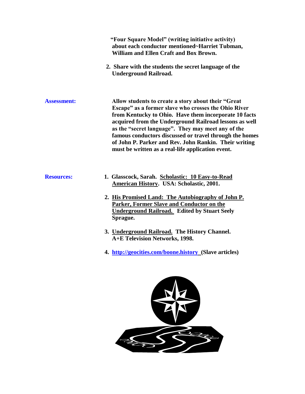|                    | "Four Square Model" (writing initiative activity)<br>about each conductor mentioned~Harriet Tubman,<br><b>William and Ellen Craft and Box Brown.</b>                                                                                                                                                                                                                                                                                                          |
|--------------------|---------------------------------------------------------------------------------------------------------------------------------------------------------------------------------------------------------------------------------------------------------------------------------------------------------------------------------------------------------------------------------------------------------------------------------------------------------------|
|                    | 2. Share with the students the secret language of the<br><b>Underground Railroad.</b>                                                                                                                                                                                                                                                                                                                                                                         |
| <b>Assessment:</b> | Allow students to create a story about their "Great<br>Escape" as a former slave who crosses the Ohio River<br>from Kentucky to Ohio. Have them incorporate 10 facts<br>acquired from the Underground Railroad lessons as well<br>as the "secret language". They may meet any of the<br>famous conductors discussed or travel through the homes<br>of John P. Parker and Rev. John Rankin. Their writing<br>must be written as a real-life application event. |
| <b>Resources:</b>  | 1. Glasscock, Sarah. Scholastic: 10 Easy-to-Read<br><b>American History. USA: Scholastic, 2001.</b><br>2. His Promised Land: The Autobiography of John P.<br><b>Parker, Former Slave and Conductor on the</b><br><b>Underground Railroad.</b> Edited by Stuart Seely                                                                                                                                                                                          |
|                    | Sprague.<br>3. Underground Railroad. The History Channel.<br>A+E Television Networks, 1998.                                                                                                                                                                                                                                                                                                                                                                   |
|                    | 4. http://geocities.com/boone.history (Slave articles)                                                                                                                                                                                                                                                                                                                                                                                                        |

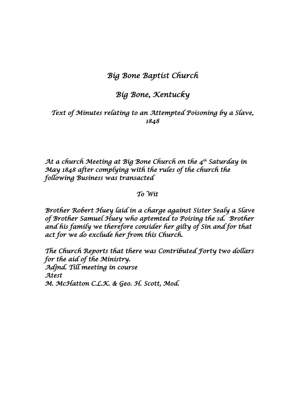## *Big Bone Baptist Church*

# *Big Bone, Kentucky*

## *Text of Minutes relating to an Attempted Poisoning by a Slave, 1848*

*At a church Meeting at Big Bone Church on the 4th Saturday in May 1848 after complying with the rules of the church the following Business was transacted* 

## *To Wit*

*Brother Robert Huey laid in a charge against Sister Sealy a Slave of Brother Samuel Huey who aptemted to Poising the sd. Brother and his family we therefore consider her gilty of Sin and for that act for we do exclude her from this Church.* 

*The Church Reports that there was Contributed Forty two dollars for the aid of the Ministry. Adjnd. Till meeting in course Atest M. McHatton C.L.K. & Geo. H. Scott, Mod.*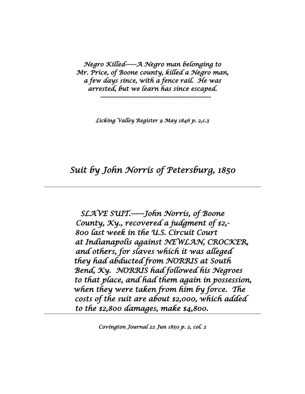*Negro Killed------A Negro man belonging to Mr. Price, of Boone county, killed a Negro man, a few days since, with a fence rail. He was arrested, but we learn has since escaped.* 

 *-----------------------------------------------------------* 

*Licking Valley Register 9 May 1846 p. 2,c.3* 

# *Suit by John Norris of Petersburg, 1850*

*SLAVE SUIT.------John Norris, of Boone County, Ky., recovered a judgment of \$2,- 800 last week in the U.S. Circuit Court at Indianapolis against NEWLAN, CROCKER, and others, for slaves which it was alleged they had abducted from NORRIS at South Bend, Ky. NORRIS had followed his Negroes to that place, and had them again in possession, when they were taken from him by force. The costs of the suit are about \$2,000, which added to the \$2,800 damages, make \$4,800.* 

*Covington Journal 22 Jun 1850 p. 2, col. 2*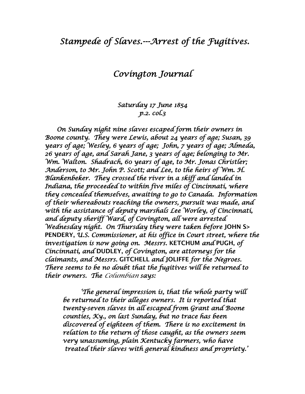# *Stampede of Slaves.---Arrest of the Fugitives.*

## *Covington Journal*

## *Saturday 17 June 1854 p.2. col.3*

 *On Sunday night nine slaves escaped form their owners in Boone county. They were Lewis, about 24 years of age; Susan, 39 years of age; Wesley, 6 years of age; John, 7 years of age; Almeda, 26 years of age, and Sarah Jane, 3 years of age; belonging to Mr. Wm. Walton. Shadrach, 60 years of age, to Mr. Jonas Christler; Anderson, to Mr. John P. Scott; and Lee, to the heirs of Wm. H. Blankenbeker. They crossed the river in a skiff and landed in Indiana, the proceeded to within five miles of Cincinnati, where they concealed themselves, awaiting to go to Canada. Information of their whereabouts reaching the owners, pursuit was made, and with the assistance of deputy marshals Lee Worley, of Cincinnati, and deputy sheriff Ward, of Covington, all were arrested Wednesday night. On Thursday they were taken before* **JOHN S> PENDERY,** *U.S. Commissioner, at his office in Court street, where the investigation is now going on. Messrs.* **KETCHUM** *and* **PUGH,** *of Cincinnati, and* **DUDLEY,** *of Covington, are attorneys for the claimants, and Messrs.* **GITCHELL** *and* **JOLIFFE** *for the Negroes. There seems to be no doubt that the fugitives will be returned to their owners. The Columbian says:* 

 *'The general impression is, that the whole party will be returned to their alleges owners. It is reported that twenty-seven slaves in all escaped from Grant and Boone counties, Ky., on last Sunday, but no trace has been discovered of eighteen of them. There is no excitement in relation to the return of those caught, as the owners seem very unassuming, plain Kentucky farmers, who have*  aiscoverea of eignteen of them. There is no excitement in<br>relatíon to the return of those caught, as the owners seem<br>very unassuming, plain Kentucky farmers, who have<br>treated their slaves with general kindness and propriet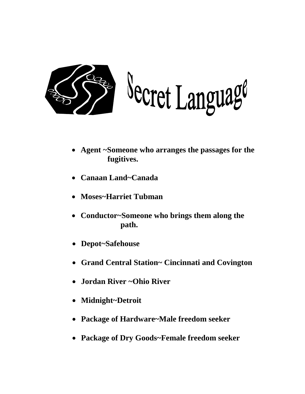

Secret Language

- **Agent ~Someone who arranges the passages for the fugitives.**
- **Canaan Land~Canada**
- **Moses~Harriet Tubman**
- **Conductor~Someone who brings them along the path.**
- **Depot~Safehouse**
- **Grand Central Station~ Cincinnati and Covington**
- **Jordan River ~Ohio River**
- **Midnight~Detroit**
- **Package of Hardware~Male freedom seeker**
- **Package of Dry Goods~Female freedom seeker**